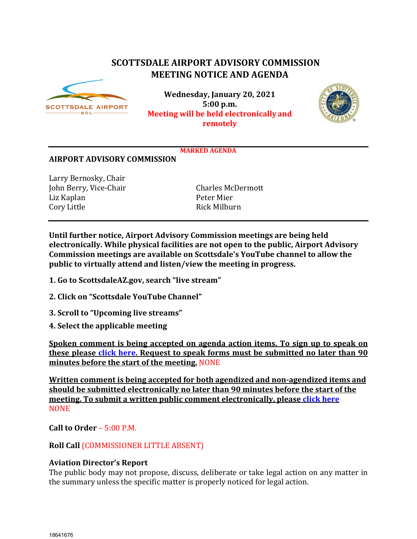# **SCOTTSDALE AIRPORT ADVISORY COMMISSION MEETING NOTICE AND AGENDA**



**Wednesday, January 20, 2021 5:00 p.m. Meeting will be held electronically and remotely**



#### **MARKED AGENDA**

#### **AIRPORT ADVISORY COMMISSION**

Larry Bernosky, Chair John Berry, Vice-Chair Charles McDermott Liz Kaplan Peter Mier Cory Little

**Until further notice, Airport Advisory Commission meetings are being held electronically. While physical facilities are not open to the public, Airport Advisory Commission meetings are available on Scottsdale's YouTube channel to allow the public to virtually attend and listen/view the meeting in progress.**

- **1. Go to ScottsdaleAZ.gov, search "live stream"**
- **2. Click on "Scottsdale YouTube Channel"**
- **3. Scroll to "Upcoming live streams"**
- **4. Select the applicable meeting**

**Spoken comment is being accepted on agenda action items. To sign up to speak on these please [click here.](https://www.scottsdaleaz.gov/boards/airport-advisory-commission/spoken-comment) Request to speak forms must be submitted no later than 90 minutes before the start of the meeting.** NONE

**Written comment is being accepted for both agendized and non-agendized items and should be submitted electronically no later than 90 minutes before the start of the meeting. To submit a written public comment electronically, pleas[e click here](https://www.scottsdaleaz.gov/boards/airport-advisory-commission/public-comment) NONE** 

**Call to Order** – 5:00 P.M.

## **Roll Call** (COMMISSIONER LITTLE ABSENT)

#### **Aviation Director's Report**

The public body may not propose, discuss, deliberate or take legal action on any matter in the summary unless the specific matter is properly noticed for legal action.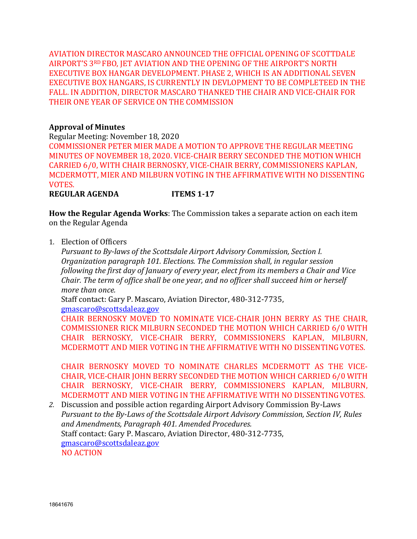AVIATION DIRECTOR MASCARO ANNOUNCED THE OFFICIAL OPENING OF SCOTTDALE AIRPORT'S 3RD FBO, JET AVIATION AND THE OPENING OF THE AIRPORT'S NORTH EXECUTIVE BOX HANGAR DEVELOPMENT. PHASE 2, WHICH IS AN ADDITIONAL SEVEN EXECUTIVE BOX HANGARS, IS CURRENTLY IN DEVLOPMENT TO BE COMPLETEED IN THE FALL. IN ADDITION, DIRECTOR MASCARO THANKED THE CHAIR AND VICE-CHAIR FOR THEIR ONE YEAR OF SERVICE ON THE COMMISSION

## **Approval of Minutes**

Regular Meeting: November 18, 2020

COMMISSIONER PETER MIER MADE A MOTION TO APPROVE THE REGULAR MEETING MINUTES OF NOVEMBER 18, 2020. VICE-CHAIR BERRY SECONDED THE MOTION WHICH CARRIED 6/0, WITH CHAIR BERNOSKY, VICE-CHAIR BERRY, COMMISSIONERS KAPLAN, MCDERMOTT, MIER AND MILBURN VOTING IN THE AFFIRMATIVE WITH NO DISSENTING VOTES.

### **REGULAR AGENDA ITEMS 1-17**

**How the Regular Agenda Works**: The Commission takes a separate action on each item on the Regular Agenda

1. Election of Officers

*Pursuant to By-laws of the Scottsdale Airport Advisory Commission, Section I. Organization paragraph 101. Elections. The Commission shall, in regular session following the first day of January of every year, elect from its members a Chair and Vice Chair. The term of office shall be one year, and no officer shall succeed him or herself more than once.*

Staff contact: Gary P. Mascaro, Aviation Director, 480-312-7735,

[gmascaro@scottsdaleaz.gov](mailto:gmascaro@scottsdaleaz.gov)

CHAIR BERNOSKY MOVED TO NOMINATE VICE-CHAIR JOHN BERRY AS THE CHAIR, COMMISSIONER RICK MILBURN SECONDED THE MOTION WHICH CARRIED 6/0 WITH CHAIR BERNOSKY, VICE-CHAIR BERRY, COMMISSIONERS KAPLAN, MILBURN, MCDERMOTT AND MIER VOTING IN THE AFFIRMATIVE WITH NO DISSENTINGVOTES.

CHAIR BERNOSKY MOVED TO NOMINATE CHARLES MCDERMOTT AS THE VICE-CHAIR, VICE-CHAIR JOHN BERRY SECONDED THE MOTION WHICH CARRIED 6/0 WITH CHAIR BERNOSKY, VICE-CHAIR BERRY, COMMISSIONERS KAPLAN, MILBURN, MCDERMOTT AND MIER VOTING IN THE AFFIRMATIVE WITH NO DISSENTINGVOTES.

*2.* Discussion and possible action regarding Airport Advisory Commission By-Laws *Pursuant to the By-Laws of the Scottsdale Airport Advisory Commission, Section IV, Rules and Amendments, Paragraph 401. Amended Procedures.* Staff contact: Gary P. Mascaro, Aviation Director, 480-312-7735, [gmascaro@scottsdaleaz.gov](mailto:gmascaro@scottsdaleaz.gov) NO ACTION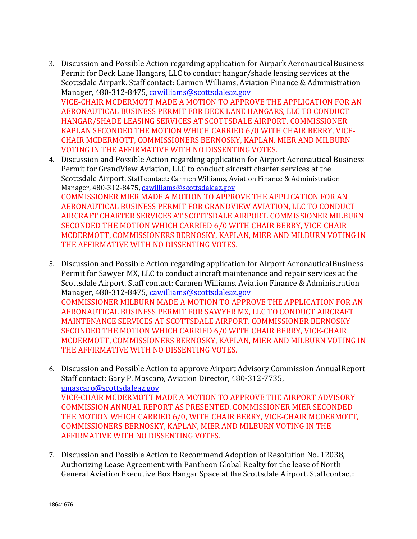- 3. Discussion and Possible Action regarding application for Airpark AeronauticalBusiness Permit for Beck Lane Hangars, LLC to conduct hangar/shade leasing services at the Scottsdale Airpark. Staff contact: Carmen Williams, Aviation Finance & Administration Manager, 480-312-8475, [cawilliams@scottsdaleaz.gov](mailto:cawilliams@scottsdaleaz.gov) VICE-CHAIR MCDERMOTT MADE A MOTION TO APPROVE THE APPLICATION FOR AN AERONAUTICAL BUSINESS PERMIT FOR BECK LANE HANGARS, LLC TO CONDUCT HANGAR/SHADE LEASING SERVICES AT SCOTTSDALE AIRPORT. COMMISSIONER KAPLAN SECONDED THE MOTION WHICH CARRIED 6/0 WITH CHAIR BERRY, VICE-CHAIR MCDERMOTT, COMMISSIONERS BERNOSKY, KAPLAN, MIER AND MILBURN VOTING IN THE AFFIRMATIVE WITH NO DISSENTING VOTES.
- 4. Discussion and Possible Action regarding application for Airport Aeronautical Business Permit for GrandView Aviation, LLC to conduct aircraft charter services at the Scottsdale Airport. Staff contact: Carmen Williams, Aviation Finance & Administration Manager, 480-312-8475, [cawilliams@scottsdaleaz.gov](mailto:cawilliams@scottsdaleaz.gov) COMMISSIONER MIER MADE A MOTION TO APPROVE THE APPLICATION FOR AN AERONAUTICAL BUSINESS PERMIT FOR GRANDVIEW AVIATION, LLC TO CONDUCT AIRCRAFT CHARTER SERVICES AT SCOTTSDALE AIRPORT. COMMISSIONER MILBURN SECONDED THE MOTION WHICH CARRIED 6/0 WITH CHAIR BERRY, VICE-CHAIR MCDERMOTT, COMMISSIONERS BERNOSKY, KAPLAN, MIER AND MILBURN VOTING IN THE AFFIRMATIVE WITH NO DISSENTING VOTES.
- 5. Discussion and Possible Action regarding application for Airport AeronauticalBusiness Permit for Sawyer MX, LLC to conduct aircraft maintenance and repair services at the Scottsdale Airport. Staff contact: Carmen Williams, Aviation Finance & Administration Manager, 480-312-8475, [cawilliams@scottsdaleaz.gov](mailto:cawilliams@scottsdaleaz.gov) COMMISSIONER MILBURN MADE A MOTION TO APPROVE THE APPLICATION FOR AN AERONAUTICAL BUSINESS PERMIT FOR SAWYER MX, LLC TO CONDUCT AIRCRAFT MAINTENANCE SERVICES AT SCOTTSDALE AIRPORT. COMMISSIONER BERNOSKY SECONDED THE MOTION WHICH CARRIED 6/0 WITH CHAIR BERRY, VICE-CHAIR MCDERMOTT, COMMISSIONERS BERNOSKY, KAPLAN, MIER AND MILBURN VOTING IN THE AFFIRMATIVE WITH NO DISSENTING VOTES.
- 6. Discussion and Possible Action to approve Airport Advisory Commission AnnualReport Staff contact: Gary P. Mascaro, Aviation Director, 480-312-7735, [gmascaro@scottsdaleaz.gov](mailto:gmascaro@scottsdaleaz.gov) VICE-CHAIR MCDERMOTT MADE A MOTION TO APPROVE THE AIRPORT ADVISORY COMMISSION ANNUAL REPORT AS PRESENTED. COMMISSIONER MIER SECONDED THE MOTION WHICH CARRIED 6/0, WITH CHAIR BERRY, VICE-CHAIR MCDERMOTT, COMMISSIONERS BERNOSKY, KAPLAN, MIER AND MILBURN VOTING IN THE AFFIRMATIVE WITH NO DISSENTING VOTES.
- 7. Discussion and Possible Action to Recommend Adoption of Resolution No. 12038, Authorizing Lease Agreement with Pantheon Global Realty for the lease of North General Aviation Executive Box Hangar Space at the Scottsdale Airport. Staffcontact: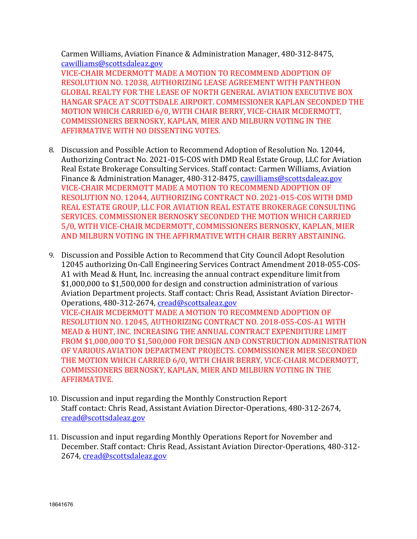Carmen Williams, Aviation Finance & Administration Manager, 480-312-8475, [cawilliams@scottsdaleaz.gov](mailto:cawilliams@scottsdaleaz.gov)

VICE-CHAIR MCDERMOTT MADE A MOTION TO RECOMMEND ADOPTION OF RESOLUTION NO. 12038, AUTHORIZING LEASE AGREEMENT WITH PANTHEON GLOBAL REALTY FOR THE LEASE OF NORTH GENERAL AVIATION EXECUTIVE BOX HANGAR SPACE AT SCOTTSDALE AIRPORT. COMMISSIONER KAPLAN SECONDED THE MOTION WHICH CARRIED 6/0, WITH CHAIR BERRY, VICE-CHAIR MCDERMOTT, COMMISSIONERS BERNOSKY, KAPLAN, MIER AND MILBURN VOTING IN THE AFFIRMATIVE WITH NO DISSENTING VOTES.

- 8. Discussion and Possible Action to Recommend Adoption of Resolution No. 12044, Authorizing Contract No. 2021-015-COS with DMD Real Estate Group, LLC for Aviation Real Estate Brokerage Consulting Services. Staff contact: Carmen Williams, Aviation Finance & Administration Manager, 480-312-8475, [cawilliams@scottsdaleaz.gov](mailto:cawilliams@scottsdaleaz.gov) VICE-CHAIR MCDERMOTT MADE A MOTION TO RECOMMEND ADOPTION OF RESOLUTION NO. 12044, AUTHORIZING CONTRACT NO. 2021-015-COS WITH DMD REAL ESTATE GROUP, LLC FOR AVIATION REAL ESTATE BROKERAGE CONSULTING SERVICES. COMMISSIONER BERNOSKY SECONDED THE MOTION WHICH CARRIED 5/0, WITH VICE-CHAIR MCDERMOTT, COMMISSIONERS BERNOSKY, KAPLAN, MIER AND MILBURN VOTING IN THE AFFIRMATIVE WITH CHAIR BERRY ABSTAINING.
- 9. Discussion and Possible Action to Recommend that City Council Adopt Resolution 12045 authorizing On-Call Engineering Services Contract Amendment 2018-055-COS-A1 with Mead & Hunt, Inc. increasing the annual contract expenditure limit from \$1,000,000 to \$1,500,000 for design and construction administration of various Aviation Department projects. Staff contact: Chris Read, Assistant Aviation Director-Operations, 480-312-2674, [cread@scottsaleaz.gov](mailto:cread@scottsaleaz.gov) VICE-CHAIR MCDERMOTT MADE A MOTION TO RECOMMEND ADOPTION OF RESOLUTION NO. 12045, AUTHORIZING CONTRACT NO. 2018-055-COS-A1 WITH MEAD & HUNT, INC. INCREASING THE ANNUAL CONTRACT EXPENDITURE LIMIT FROM \$1,000,000 TO \$1,500,000 FOR DESIGN AND CONSTRUCTION ADMINISTRATION OF VARIOUS AVIATION DEPARTMENT PROJECTS. COMMISSIONER MIER SECONDED THE MOTION WHICH CARRIED 6/0, WITH CHAIR BERRY, VICE-CHAIR MCDERMOTT, COMMISSIONERS BERNOSKY, KAPLAN, MIER AND MILBURN VOTING IN THE AFFIRMATIVE.
- 10. Discussion and input regarding the Monthly Construction Report Staff contact: Chris Read, Assistant Aviation Director-Operations, 480-312-2674, [cread@scottsdaleaz.gov](mailto:cread@scottsdaleaz.gov)
- 11. Discussion and input regarding Monthly Operations Report for November and December. Staff contact: Chris Read, Assistant Aviation Director-Operations, 480-312- 2674, [cread@scottsdaleaz.gov](mailto:cread@scottsdaleaz.gov)